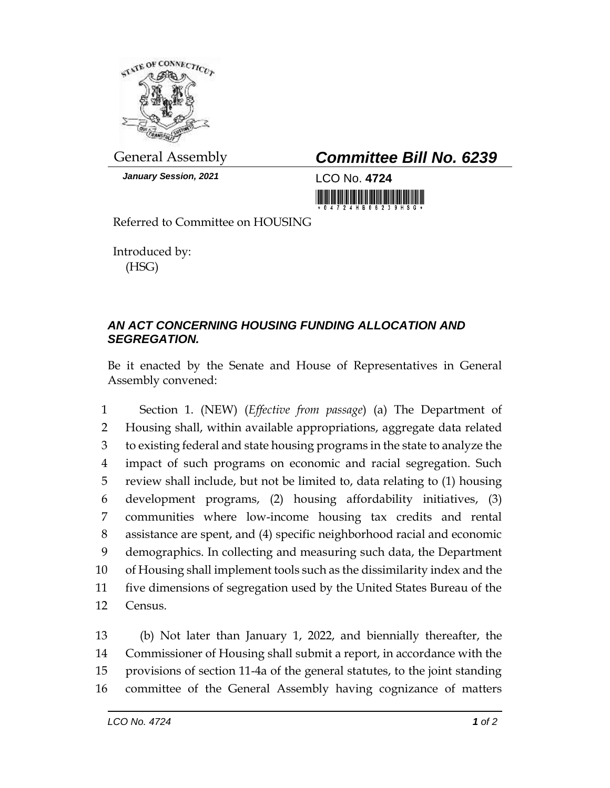

*January Session, 2021* LCO No. **4724**

General Assembly *Committee Bill No. 6239*

Referred to Committee on HOUSING

Introduced by: (HSG)

## *AN ACT CONCERNING HOUSING FUNDING ALLOCATION AND SEGREGATION.*

Be it enacted by the Senate and House of Representatives in General Assembly convened:

 Section 1. (NEW) (*Effective from passage*) (a) The Department of Housing shall, within available appropriations, aggregate data related to existing federal and state housing programs in the state to analyze the impact of such programs on economic and racial segregation. Such review shall include, but not be limited to, data relating to (1) housing development programs, (2) housing affordability initiatives, (3) communities where low-income housing tax credits and rental assistance are spent, and (4) specific neighborhood racial and economic demographics. In collecting and measuring such data, the Department of Housing shall implement tools such as the dissimilarity index and the five dimensions of segregation used by the United States Bureau of the Census.

 (b) Not later than January 1, 2022, and biennially thereafter, the Commissioner of Housing shall submit a report, in accordance with the provisions of section 11-4a of the general statutes, to the joint standing committee of the General Assembly having cognizance of matters